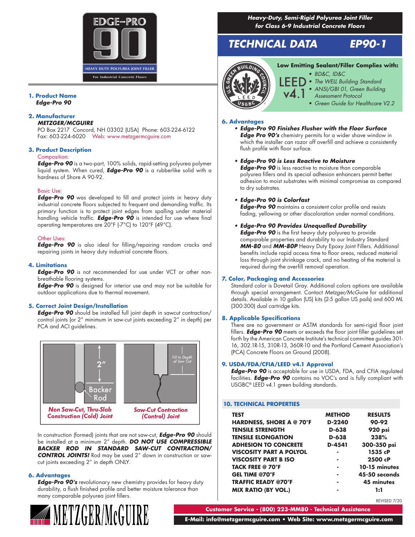

#### **1. Product Name** *Edge-Pro 90*

### **2. Manufacturer**

#### *METZGER/MCGUIRE*

PO Box 2217 Concord, NH 03302 (USA) Phone: 603-224-6122 Fax: 603-224-6020 Web: www.metzgermcguire.com

#### **3. Product Description**

#### Composition:

*Edge-Pro 90* is a two-part, 100% solids, rapid-setting polyurea polymer liquid system. When cured, *Edge-Pro 90* is a rubberlike solid with a hardness of Shore A 90-92.

### Basic Use:

*Edge-Pro 90* was developed to fill and protect joints in heavy duty industrial concrete floors subjected to frequent and demanding traffic. Its primary function is to protect joint edges from spalling under material handling vehicle traffic. *Edge-Pro 90* is intended for use where final operating temperatures are 20°F (-7°C) to 120°F (49°C).

#### Other Uses:

*Edge-Pro 90* is also ideal for filling/repairing random cracks and repairing joints in heavy duty industrial concrete floors.

#### **4. Limitations**

*Edge-Pro 90* is not recommended for use under VCT or other nonbreathable flooring systems.

*Edge-Pro 90* is designed for interior use and may not be suitable for outdoor applications due to thermal movement.

#### **5. Correct Joint Design/Installation**

*Edge-Pro 90* should be installed full joint depth in sawcut contraction/ control joints (or 2" minimum in saw-cut joints exceeding 2" in depth) per PCA and ACI guidelines.



In construction (formed) joints that are not saw-cut, *Edge-Pro 90* should be installed at a minimum 2" depth. *DO NOT USE COMPRESSIBLE BACKER ROD IN STANDARD SAW-CUT CONTRACTION/ CONTROL JOINTS!* Rod may be used 2" down in construction or sawcut joints exceeding 2" in depth ONLY.

#### **6. Advantages**

*Edge-Pro 90's* revolutionary new chemistry provides for heavy duty durability, a flush finished profile and better moisture tolerance than many comparable polyurea joint fillers.



*Heavy-Duty, Semi-Rigid Polyurea Joint Filler for Class 6-9 Industrial Concrete Floors*

# *TECHNICAL DATA EP90-1*



# **Low Emitting Sealant/Filler Complies with:**

- *• BD&C, ID&C*
	- *• The WELL Building Standard*
	- *• ANSI/GBI 01, Green Building*
	- *Assessment Protocol*
		- *• Green Guide for Healthcare V2.2*

#### **6. Advantages**

*• Edge-Pro 90 Finishes Flusher with the Floor Surface Edge Pro 90's* chemistry permits for a wider shave window in which the installer can razor off overfill and achieve a consistently flush profile with floor surface.

#### *• Edge-Pro 90 is Less Reactive to Moisture*

*Edge-Pro 90* is less reactive to moisture than comparable polyurea fillers and its special adhesion enhancers permit better adhesion to moist substrates with minimal compromise as compared to dry substrates.

#### *• Edge-Pro 90 is Colorfast*

*Edge-Pro 90* maintains a consistent color profile and resists fading, yellowing or other discoloration under normal conditions.

#### *• Edge-Pro 90 Provides Unequalled Durability*

*Edge-Pro 90* is the first heavy duty polyurea to provide comparable properties and durability to our Industry Standard *MM-80* and *MM-80P* Heavy Duty Epoxy Joint Fillers. Additional benefits include rapid access time to floor areas, reduced material loss through joint shrinkage crack, and no heating of the material is required during the overfill removal operation.

#### **7. Color, Packaging and Accessories**

Standard color is Dovetail Gray. Additional colors options are available through special arrangement. Contact *Metzger/McGuire* for additional details. Available in 10 gallon (US) kits (2-5 gallon US pails) and 600 ML (300:300) dual cartridge kits.

#### **8. Applicable Specifications**

There are no government or ASTM standards for semi-rigid floor joint fillers. *Edge-Pro 90* meets or exceeds the floor joint filler guidelines set forth by the American Concrete Institute's technical committee guides 301- 16, 302.1R-15, 310R-13, 360R-10 and the Portland Cement Association's (PCA) Concrete Floors on Ground (2008).

#### **9. USDA/FDA/CFIA/LEED v4.1 Approval**

*Edge-Pro 90* is acceptable for use in USDA, FDA, and CFIA regulated facilities. *Edge-Pro 90* contains no VOC's and is fully compliant with USGBC® LEED v4.1 green building standards.

#### **10. TECHNICAL PROPERTIES**

| TEST                           | <b>METHOD</b> | <b>RESULTS</b> |
|--------------------------------|---------------|----------------|
| HARDNESS, SHORE A @ 70°F       | D-2240        | 90-92          |
| <b>TENSILE STRENGTH</b>        | D-638         | 920 psi        |
| <b>TENSILE ELONGATION</b>      | D-638         | 238%           |
| <b>ADHESION TO CONCRETE</b>    | D-4541        | 300-350 psi    |
| <b>VISCOSITY PART A POLYOL</b> |               | 1535 cP        |
| <b>VISCOSITY PART B ISO</b>    |               | 2500 cP        |
| <b>TACK FREE @ 70°F</b>        |               | 10-15 minutes  |
| <b>GEL TIME @70°F</b>          |               | 45-50 seconds  |
| <b>TRAFFIC READY @70°F</b>     |               | 45 minutes     |
| <b>MIX RATIO (BY VOL.)</b>     |               | 1:1            |

REVISED 7/20

**Customer Service - (800) 223-MM80 - Technical Assistance**